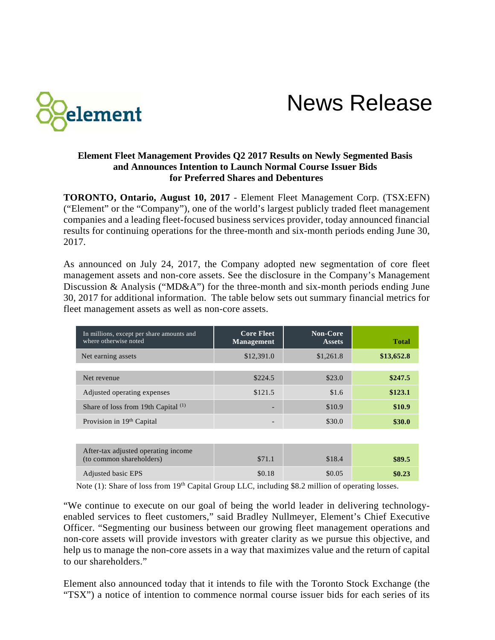

News Release

### **Element Fleet Management Provides Q2 2017 Results on Newly Segmented Basis and Announces Intention to Launch Normal Course Issuer Bids for Preferred Shares and Debentures**

**TORONTO, Ontario, August 10, 2017** - Element Fleet Management Corp. (TSX:EFN) ("Element" or the "Company"), one of the world's largest publicly traded fleet management companies and a leading fleet-focused business services provider, today announced financial results for continuing operations for the three-month and six-month periods ending June 30, 2017.

As announced on July 24, 2017, the Company adopted new segmentation of core fleet management assets and non-core assets. See the disclosure in the Company's Management Discussion & Analysis ("MD&A") for the three-month and six-month periods ending June 30, 2017 for additional information. The table below sets out summary financial metrics for fleet management assets as well as non-core assets.

| In millions, except per share amounts and<br>where otherwise noted | <b>Core Fleet</b><br><b>Management</b> | <b>Non-Core</b><br><b>Assets</b> | <b>Total</b> |
|--------------------------------------------------------------------|----------------------------------------|----------------------------------|--------------|
| Net earning assets                                                 | \$12,391.0                             | \$1,261.8                        | \$13,652.8   |
|                                                                    |                                        |                                  |              |
| Net revenue                                                        | \$224.5                                | \$23.0                           | \$247.5      |
| Adjusted operating expenses                                        | \$121.5                                | \$1.6                            | \$123.1      |
| Share of loss from 19th Capital $(1)$                              |                                        | \$10.9                           | \$10.9       |
| Provision in 19th Capital                                          |                                        | \$30.0                           | \$30.0       |
|                                                                    |                                        |                                  |              |
| After-tax adjusted operating income<br>(to common shareholders)    | \$71.1                                 | \$18.4                           | \$89.5       |

Note (1): Share of loss from 19<sup>th</sup> Capital Group LLC, including \$8.2 million of operating losses.

"We continue to execute on our goal of being the world leader in delivering technologyenabled services to fleet customers," said Bradley Nullmeyer, Element's Chief Executive Officer. "Segmenting our business between our growing fleet management operations and non-core assets will provide investors with greater clarity as we pursue this objective, and help us to manage the non-core assets in a way that maximizes value and the return of capital to our shareholders."

Adjusted basic EPS **\$0.23** \$0.18 \$0.05 **\$0.23** 

Element also announced today that it intends to file with the Toronto Stock Exchange (the "TSX") a notice of intention to commence normal course issuer bids for each series of its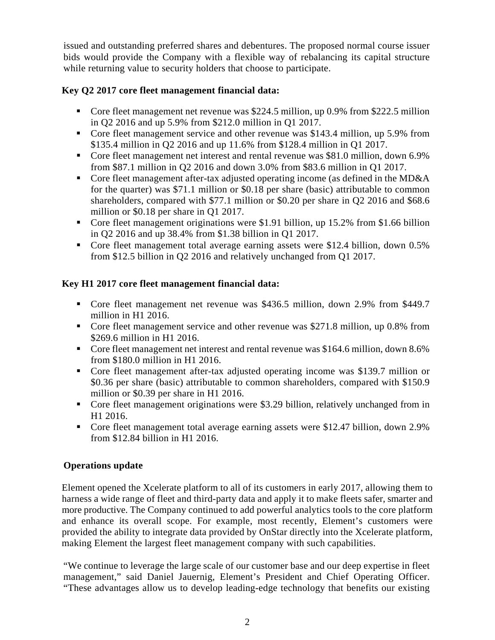issued and outstanding preferred shares and debentures. The proposed normal course issuer bids would provide the Company with a flexible way of rebalancing its capital structure while returning value to security holders that choose to participate.

# **Key Q2 2017 core fleet management financial data:**

- Core fleet management net revenue was \$224.5 million, up 0.9% from \$222.5 million in Q2 2016 and up 5.9% from \$212.0 million in Q1 2017.
- Core fleet management service and other revenue was \$143.4 million, up 5.9% from \$135.4 million in Q2 2016 and up 11.6% from \$128.4 million in Q1 2017.
- Core fleet management net interest and rental revenue was \$81.0 million, down 6.9% from \$87.1 million in Q2 2016 and down 3.0% from \$83.6 million in Q1 2017.
- Core fleet management after-tax adjusted operating income (as defined in the MD&A for the quarter) was \$71.1 million or \$0.18 per share (basic) attributable to common shareholders, compared with \$77.1 million or \$0.20 per share in Q2 2016 and \$68.6 million or \$0.18 per share in Q1 2017.
- Core fleet management originations were \$1.91 billion, up 15.2% from \$1.66 billion in Q2 2016 and up 38.4% from \$1.38 billion in Q1 2017.
- Core fleet management total average earning assets were \$12.4 billion, down 0.5% from \$12.5 billion in Q2 2016 and relatively unchanged from Q1 2017.

## **Key H1 2017 core fleet management financial data:**

- Core fleet management net revenue was \$436.5 million, down 2.9% from \$449.7 million in H1 2016.
- Core fleet management service and other revenue was \$271.8 million, up 0.8% from \$269.6 million in H1 2016.
- Core fleet management net interest and rental revenue was \$164.6 million, down 8.6% from \$180.0 million in H1 2016.
- Core fleet management after-tax adjusted operating income was \$139.7 million or \$0.36 per share (basic) attributable to common shareholders, compared with \$150.9 million or \$0.39 per share in H1 2016.
- Core fleet management originations were \$3.29 billion, relatively unchanged from in H1 2016.
- Core fleet management total average earning assets were \$12.47 billion, down 2.9% from \$12.84 billion in H1 2016.

## **Operations update**

Element opened the Xcelerate platform to all of its customers in early 2017, allowing them to harness a wide range of fleet and third-party data and apply it to make fleets safer, smarter and more productive. The Company continued to add powerful analytics tools to the core platform and enhance its overall scope. For example, most recently, Element's customers were provided the ability to integrate data provided by OnStar directly into the Xcelerate platform, making Element the largest fleet management company with such capabilities.

"We continue to leverage the large scale of our customer base and our deep expertise in fleet management," said Daniel Jauernig, Element's President and Chief Operating Officer. "These advantages allow us to develop leading-edge technology that benefits our existing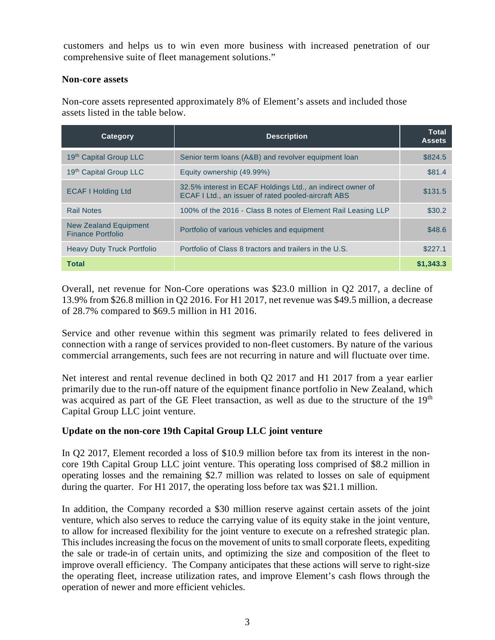customers and helps us to win even more business with increased penetration of our comprehensive suite of fleet management solutions."

#### **Non-core assets**

Non-core assets represented approximately 8% of Element's assets and included those assets listed in the table below.

| Category                                          | <b>Description</b>                                                                                                | <b>Total</b><br><b>Assets</b> |
|---------------------------------------------------|-------------------------------------------------------------------------------------------------------------------|-------------------------------|
| 19th Capital Group LLC                            | Senior term loans (A&B) and revolver equipment loan                                                               | \$824.5                       |
| 19th Capital Group LLC                            | Equity ownership (49.99%)                                                                                         | \$81.4                        |
| <b>ECAF I Holding Ltd</b>                         | 32.5% interest in ECAF Holdings Ltd., an indirect owner of<br>ECAF I Ltd., an issuer of rated pooled-aircraft ABS | \$131.5                       |
| <b>Rail Notes</b>                                 | 100% of the 2016 - Class B notes of Element Rail Leasing LLP                                                      | \$30.2                        |
| New Zealand Equipment<br><b>Finance Portfolio</b> | Portfolio of various vehicles and equipment                                                                       | \$48.6                        |
| <b>Heavy Duty Truck Portfolio</b>                 | Portfolio of Class 8 tractors and trailers in the U.S.                                                            | \$227.1                       |
| <b>Total</b>                                      |                                                                                                                   | \$1,343.3                     |

Overall, net revenue for Non-Core operations was \$23.0 million in Q2 2017, a decline of 13.9% from \$26.8 million in Q2 2016. For H1 2017, net revenue was \$49.5 million, a decrease of 28.7% compared to \$69.5 million in H1 2016.

Service and other revenue within this segment was primarily related to fees delivered in connection with a range of services provided to non-fleet customers. By nature of the various commercial arrangements, such fees are not recurring in nature and will fluctuate over time.

Net interest and rental revenue declined in both Q2 2017 and H1 2017 from a year earlier primarily due to the run-off nature of the equipment finance portfolio in New Zealand, which was acquired as part of the GE Fleet transaction, as well as due to the structure of the 19<sup>th</sup> Capital Group LLC joint venture.

## **Update on the non-core 19th Capital Group LLC joint venture**

In Q2 2017, Element recorded a loss of \$10.9 million before tax from its interest in the noncore 19th Capital Group LLC joint venture. This operating loss comprised of \$8.2 million in operating losses and the remaining \$2.7 million was related to losses on sale of equipment during the quarter. For H1 2017, the operating loss before tax was \$21.1 million.

In addition, the Company recorded a \$30 million reserve against certain assets of the joint venture, which also serves to reduce the carrying value of its equity stake in the joint venture, to allow for increased flexibility for the joint venture to execute on a refreshed strategic plan. This includes increasing the focus on the movement of units to small corporate fleets, expediting the sale or trade-in of certain units, and optimizing the size and composition of the fleet to improve overall efficiency. The Company anticipates that these actions will serve to right-size the operating fleet, increase utilization rates, and improve Element's cash flows through the operation of newer and more efficient vehicles.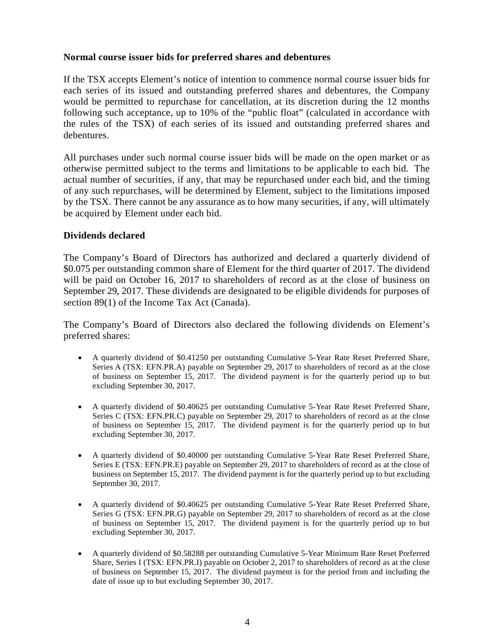#### **Normal course issuer bids for preferred shares and debentures**

If the TSX accepts Element's notice of intention to commence normal course issuer bids for each series of its issued and outstanding preferred shares and debentures, the Company would be permitted to repurchase for cancellation, at its discretion during the 12 months following such acceptance, up to 10% of the "public float" (calculated in accordance with the rules of the TSX) of each series of its issued and outstanding preferred shares and debentures.

All purchases under such normal course issuer bids will be made on the open market or as otherwise permitted subject to the terms and limitations to be applicable to each bid. The actual number of securities, if any, that may be repurchased under each bid, and the timing of any such repurchases, will be determined by Element, subject to the limitations imposed by the TSX. There cannot be any assurance as to how many securities, if any, will ultimately be acquired by Element under each bid.

### **Dividends declared**

The Company's Board of Directors has authorized and declared a quarterly dividend of \$0.075 per outstanding common share of Element for the third quarter of 2017. The dividend will be paid on October 16, 2017 to shareholders of record as at the close of business on September 29, 2017. These dividends are designated to be eligible dividends for purposes of section 89(1) of the Income Tax Act (Canada).

The Company's Board of Directors also declared the following dividends on Element's preferred shares:

- A quarterly dividend of \$0.41250 per outstanding Cumulative 5-Year Rate Reset Preferred Share, Series A (TSX: EFN.PR.A) payable on September 29, 2017 to shareholders of record as at the close of business on September 15, 2017. The dividend payment is for the quarterly period up to but excluding September 30, 2017.
- A quarterly dividend of \$0.40625 per outstanding Cumulative 5-Year Rate Reset Preferred Share, Series C (TSX: EFN.PR.C) payable on September 29, 2017 to shareholders of record as at the close of business on September 15, 2017. The dividend payment is for the quarterly period up to but excluding September 30, 2017.
- A quarterly dividend of \$0.40000 per outstanding Cumulative 5-Year Rate Reset Preferred Share, Series E (TSX: EFN.PR.E) payable on September 29, 2017 to shareholders of record as at the close of business on September 15, 2017. The dividend payment is for the quarterly period up to but excluding September 30, 2017.
- A quarterly dividend of \$0.40625 per outstanding Cumulative 5-Year Rate Reset Preferred Share, Series G (TSX: EFN.PR.G) payable on September 29, 2017 to shareholders of record as at the close of business on September 15, 2017. The dividend payment is for the quarterly period up to but excluding September 30, 2017.
- A quarterly dividend of \$0.58288 per outstanding Cumulative 5-Year Minimum Rate Reset Preferred Share, Series I (TSX: EFN.PR.I) payable on October 2, 2017 to shareholders of record as at the close of business on September 15, 2017. The dividend payment is for the period from and including the date of issue up to but excluding September 30, 2017.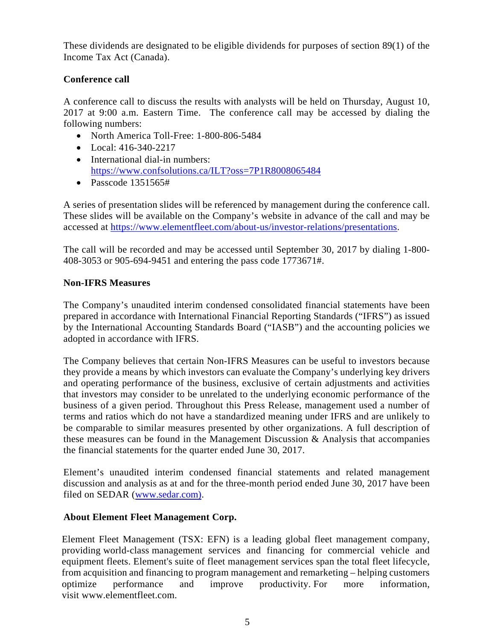These dividends are designated to be eligible dividends for purposes of section 89(1) of the Income Tax Act (Canada).

# **Conference call**

A conference call to discuss the results with analysts will be held on Thursday, August 10, 2017 at 9:00 a.m. Eastern Time. The conference call may be accessed by dialing the following numbers:

- North America Toll-Free: 1-800-806-5484
- Local: 416-340-2217
- International dial-in numbers: <https://www.confsolutions.ca/ILT?oss=7P1R8008065484>
- Passcode 1351565#

A series of presentation slides will be referenced by management during the conference call. These slides will be available on the Company's website in advance of the call and may be accessed at [https://www.elementfleet.com/about-us/investor-relations/presentations.](https://www.elementfleet.com/about-us/investor-relations/presentations)

The call will be recorded and may be accessed until September 30, 2017 by dialing 1-800- 408-3053 or 905-694-9451 and entering the pass code 1773671#.

## **Non-IFRS Measures**

The Company's unaudited interim condensed consolidated financial statements have been prepared in accordance with International Financial Reporting Standards ("IFRS") as issued by the International Accounting Standards Board ("IASB") and the accounting policies we adopted in accordance with IFRS.

The Company believes that certain Non-IFRS Measures can be useful to investors because they provide a means by which investors can evaluate the Company's underlying key drivers and operating performance of the business, exclusive of certain adjustments and activities that investors may consider to be unrelated to the underlying economic performance of the business of a given period. Throughout this Press Release, management used a number of terms and ratios which do not have a standardized meaning under IFRS and are unlikely to be comparable to similar measures presented by other organizations. A full description of these measures can be found in the Management Discussion & Analysis that accompanies the financial statements for the quarter ended June 30, 2017.

Element's unaudited interim condensed financial statements and related management discussion and analysis as at and for the three-month period ended June 30, 2017 have been filed on SEDAR [\(www.sedar.com\).](http://www.sedar.com)/)

## **About Element Fleet Management Corp.**

Element Fleet Management (TSX: EFN) is a leading global fleet management company, providing world-class management services and financing for commercial vehicle and equipment fleets. Element's suite of fleet management services span the total fleet lifecycle, from acquisition and financing to program management and remarketing – helping customers optimize performance and improve productivity. For more information, visit [www.elementfleet.com.](http://www.elementfleet.com/)